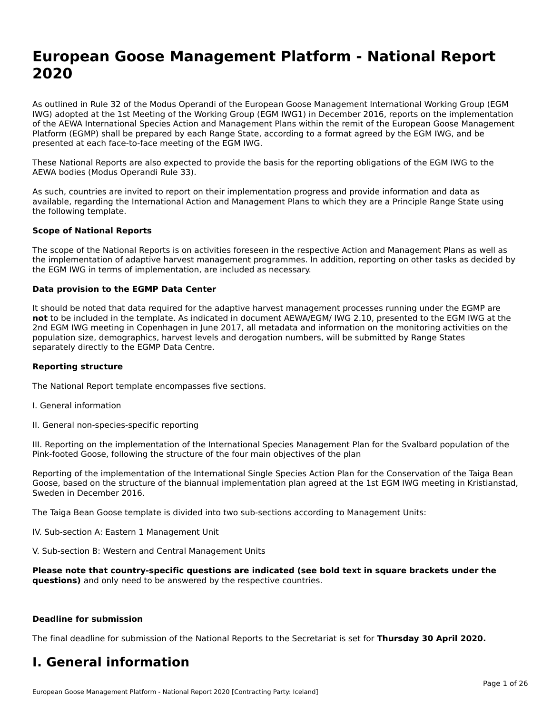# **European Goose Management Platform - National Report**European Goose Management Platform - National **Neport**<br>2020

As outlined in Rule 32 of the Modus Operandi of the European Goose Management International Working Group (EGM As buthled in Rule 32 of the Modus Operandi of the Lufopean Goose Management International Working Group (LGM<br>IWG) adopted at the 1st Meeting of the Working Group (EGM IWG1) in December 2016, reports on the implementation of the AEWA International Species Action and Management Plans within the remit of the European Goose Management Platform (EGMP) shall be prepared by each Range State, according to a format agreed by the EGM IWG, and be presented at each face-to-face meeting of the EGM IWG.

These National Reports are also expected to provide the basis for the reporting obligations of the EGM IWG to the AEWA bodies (Modus Operandi Rule 33).

As such, countries are invited to report on their implementation progress and provide information and data as<br>available, regarding the International Action and Management Plans to which they are a Principle Range State usi available, regarding the International Action and Management Plans to which they are a Principle Range State using the following template.

#### **Scope of National Reports**

The scope of the National Reports is on activities foreseen in the respective Action and Management Plans as well as The scope of the National Reports is on activities foreseen in the respective Action and Management Plans as well as<br>the implementation of adaptive harvest management programmes. In addition, reporting on other tasks as de the EGM IWG in terms of implementation, are included as necessary.

#### **Data provision to the EGMP Data Center**

It should be noted that data required for the adaptive harvest management processes running under the EGMP are **not** to be included in the template. As indicated in document AEWA/EGM/ IWG 2.10, presented to the EGM IWG at the 2nd EGM IWG meeting in Copenhagen in June 2017, all metadata and information on the monitoring activities on the population size, demographics, harvest levels and derogation numbers, will be submitted by Range States separately directly to the EGMP Data Centre.

#### **Reporting structure**

The National Report template encompasses five sections.

- I. General information
- II. General non-species-specific reporting

III. Reporting on the implementation of the International Species Management Plan for the Svalbard population of the

Reporting of the implementation of the International Single Species Action Plan for the Conservation of the Taiga Bean Reporting of the implementation of the international single species Action Fram for the conservation of the laiga beam<br>Goose, based on the structure of the biannual implementation plan agreed at the 1st EGM IWG meeting in

The Taiga Bean Goose template is divided into two sub-sections according to Management Units:

IV. Sub-section A: Eastern 1 Management Unit

V. Sub-section B: Western and Central Management Units

Please note that country-specific questions are indicated (see bold text in square brackets under the **questions)** and only need to be answered by the respective countries.

#### **Deadline for submission**

The final deadline for submission of the National Reports to the Secretariat is set for **Thursday 30 April 2020.**

#### **I. General information**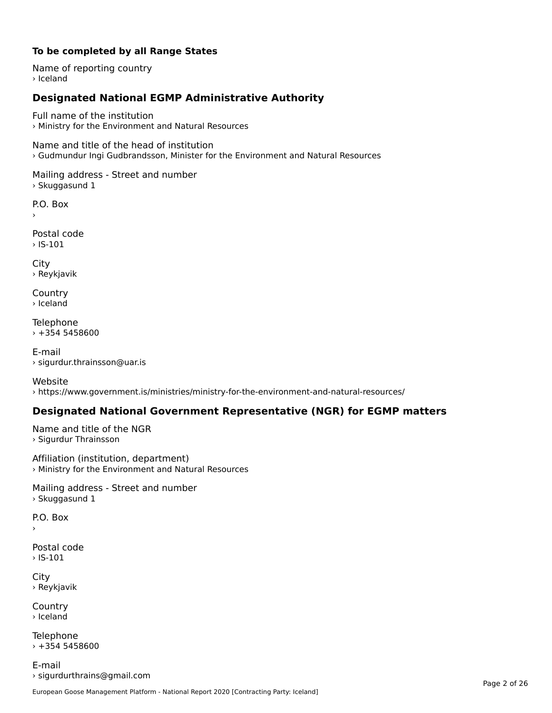#### **To be completed by all Range States**

Name of reporting country › Iceland

# **Designated National EGMP Administrative Authority**

Full name of the institution› Ministry for the Environment and Natural Resources

Name and title of the head of institution › Gudmundur Ingi Gudbrandsson, Minister for the Environment and Natural Resources

Mailing address - Street and number > Skuggasund 1

P.O. Box

Postal code› IS-101

City › Reykjavik

**Country** › Iceland

Telephone  $+3545458600$ 

E-mail› sigurdur.thrainsson@uar.is

Website › https://www.government.is/ministries/ministry-for-the-environment-and-natural-resources/

### **Designated National Government Representative (NGR) for EGMP matters**

Name and title of the NGR › Sigurdur Thrainsson

Affiliation (institution, department) › Ministry for the Environment and Natural Resources

Mailing address - Street and number › Skuggasund 1

P.O. Box

Postal code› IS-101

City › Reykjavik

**Country** › Iceland

Telephone  $+3545458600$ 

E-mail› sigurdurthrains@gmail.com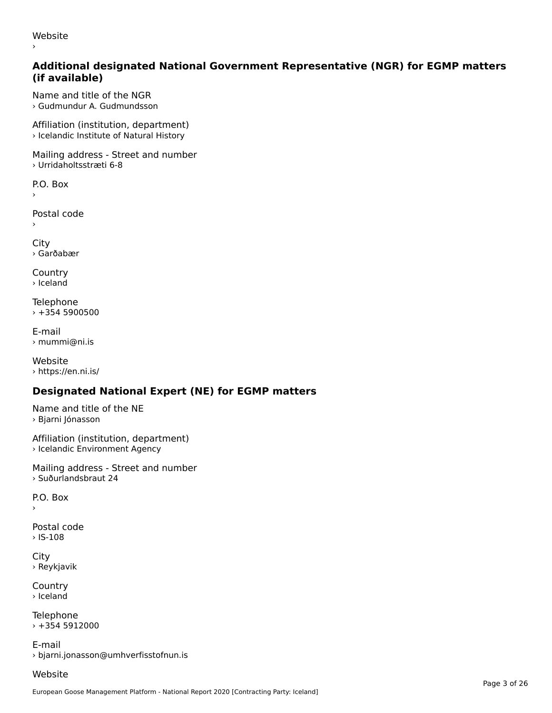website<br>Website ›

#### **Additional designated National Government Representative (NGR) for EGMP matters (if available)**

Name and title of the NGR› Gudmundur A. Gudmundsson

Affiliation (institution, department) › Icelandic Institute of Natural History

Mailing address - Street and number › Urridaholtsstræti 6-8

P.O. Box

Postal code

›

›

City › Garðabær

**Country** › Iceland

Telephone › +354 5900500

E-mail› mummi@ni.is

Website › https://en.ni.is/

# **Designated National Expert (NE) for EGMP matters**

Name and title of the NE › Bjarni Jónasson

Affiliation (institution, department) › Icelandic Environment Agency

Mailing address - Street and number › Suðurlandsbraut 24

P.O. Box

›

Postal code› IS-108

City › Reykjavik

**Country** › Iceland

**Telephone**  $+3545912000$ 

E-mail› bjarni.jonasson@umhverfisstofnun.is

### Website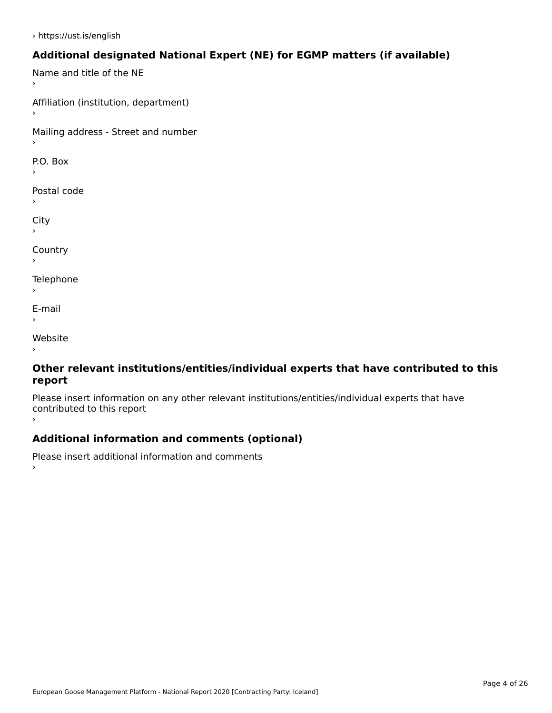# **Additional designated National Expert (NE) for EGMP matters (if available)**

Name and title of the NE Affiliation (institution, department) Mailing address - Street and number  $\overline{P}$ ›Postal code ›City ›**Country Telephone**  $\bar{\phantom{a}}$ E-mail›Website›

#### **Other relevant institutions/entities/individual experts that have contributed to this report**report

Please insert information on any other relevant institutions/entities/individual experts that have contributed to this report ›

### **Additional information and comments (optional)**

Please insert additional information and comments ›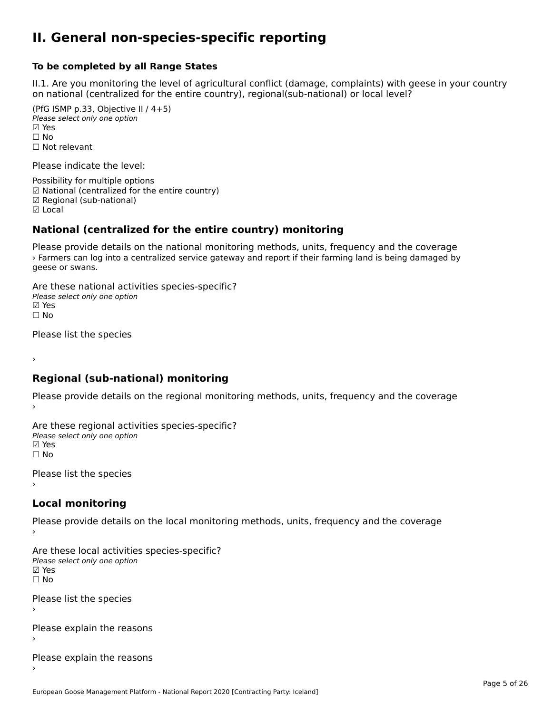#### **II. General non-species-specific reporting**

#### **To be completed by all Range States**

II.1. Are you monitoring the level of agricultural conflict (damage, complaints) with geese in your country n.i. Are you monitoring the lever or agricultural connict (damage, complaints) with g<br>on national (centralized for the entire country), regional(sub-national) or local level?

(PfG ISMP p.33, Objective II  $(4+5)$ ) Please select only one option ☑ Yes**☑ Yes**<br>□ No □ No<br>□ Not relevant

Please indicate the level:

Possibility for multiple options ™ USSIDING TO Multiple options<br>
□ National (centralized for the entire country) ☑ Regional (sub-national) ☑ Local

# **National (centralized for the entire country) monitoring**

Please provide details on the national monitoring methods, units, frequency and the coverage reduction and the coverage of the national momentum methods, and strequency and the coverage  $\frac{1}{2}$  Farmers can log into a centralized service gateway and report if their farming land is being damaged by geese or swans.

Are these national activities species-specific? Me these national activities.<br>Please select only one option ⊠ Yes<br>□ No

Please list the species

›

#### **Regional (sub-national) monitoring**

Please provide details on the regional monitoring methods, units, frequency and the coverage

Are these regional activities species-specific? Please select only one option ☑ Yes☐ No

Please list the species ›

#### **Local monitoring**

Please provide details on the local monitoring methods, units, frequency and the coverage

Are these local activities species-specific? ∧ne enese local decrimed<br>Please select only one option ☐ No

Please list the species ›

Please explain the reasons

Please explain the reasons ›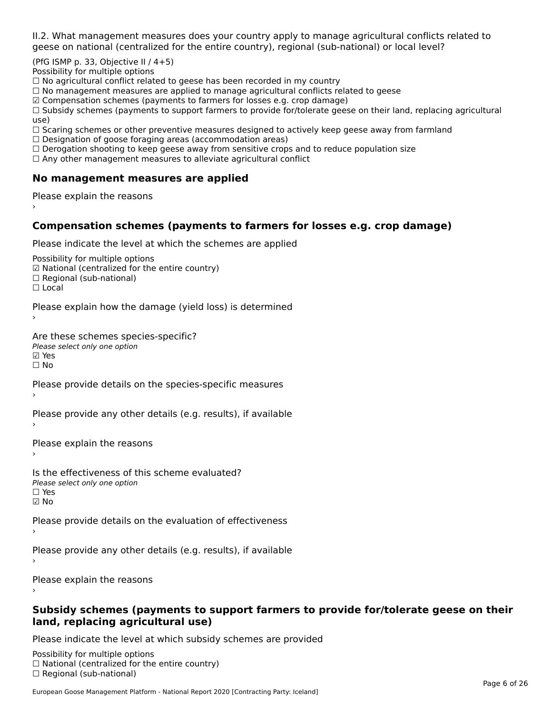II.2. What management measures does your country apply to manage agricultural conflicts related to

(PfG ISMP p. 33, Objective II  $/$  4+5)

Possibility for multiple options

™assibility for maltiple options<br>□ No agricultural conflict related to geese has been recorded in my country

 $\Box$  No management measures are applied to manage agricultural conflicts related to geese

☑ Compensation schemes (payments to farmers for losses e.g. crop damage)

a compensation schemes (payments to familers for losses e.g. crop damage)<br>[1] Subsidy schemes (payments to support farmers to provide for/tolerate geese on their land, replacing agricultural use)

use,<br>□ Scaring schemes or other preventive measures designed to actively keep geese away from farmland

 $\Box$  Designation of goose foraging areas (accommodation areas)

□ Designation or goose foraging areas (accommodation areas)<br>□ Derogation shooting to keep geese away from sensitive crops and to reduce population size

 $\Box$  Any other management measures to alleviate agricultural conflict

### **No management measures are applied**

Please explain the reasons ›

# **Compensation schemes (payments to farmers for losses e.g. crop damage)**

Please indicate the level at which the schemes are applied

Possibility for multiple options rossibility for multiple options<br>☑ National (centralized for the entire country) ⊠ National (centranzed io<br>□ Regional (sub-national) ☐ Local

Please explain how the damage (yield loss) is determined

Are these schemes species-specific?∧e chese senemes spee<br>Please select only one option **☑ Yes**<br>□ No

Please provide details on the species-specific measures

Please provide any other details (e.g. results), if available

Please explain the reasons

Is the effectiveness of this scheme evaluated?Please select only one option☐ Yes☑ No

Please provide details on the evaluation of effectiveness

Please provide any other details (e.g. results), if available

Please explain the reasons

#### **Subsidy schemes (payments to support farmers to provide for/tolerate geese on their land, replacing agricultural use)**

Please indicate the level at which subsidy schemes are provided

Possibility for multiple options rossibility for multiple options<br>□ National (centralized for the entire country) □ Regional (centranzed to<br>□ Regional (sub-national)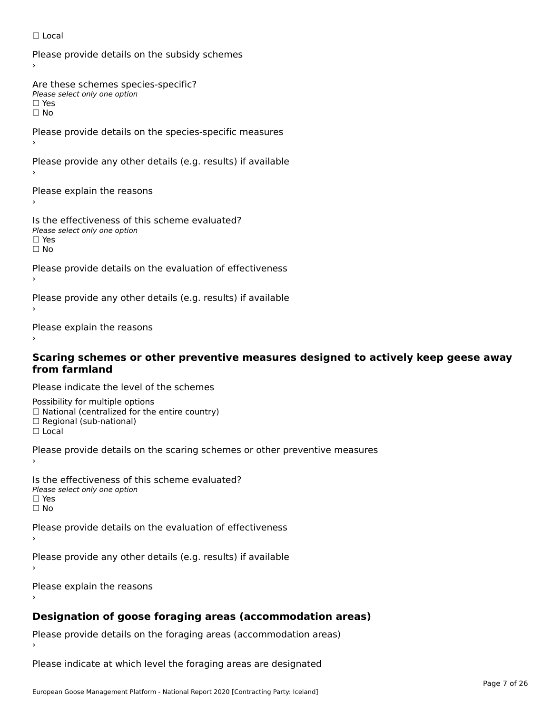#### ☐ Local

Please provide details on the subsidy schemes

Are these schemes species-specific?∩ne these senemes spee<br>Please select only one option

□ Yes<br>□ No

Please provide details on the species-specific measures

Please provide any other details (e.g. results) if available

Please explain the reasons

Is the effectiveness of this scheme evaluated? □ CITC CITCCLIVERESS OF C<br>Please select only one option ים וכ∍<br>⊡ No

Please provide details on the evaluation of effectiveness

Please provide any other details (e.g. results) if available

Please explain the reasons

# **Scaring schemes or other preventive measures designed to actively keep geese away from farmland**

Please indicate the level of the schemes

Possibility for multiple options ™assibility for multiple options<br>□ National (centralized for the entire country) □ National (centralized io<br>□ Regional (sub-national) ☐ Local

Please provide details on the scaring schemes or other preventive measures

Is the effectiveness of this scheme evaluated?Please select only one option☐ Yes☐ No

Please provide details on the evaluation of effectiveness

Please provide any other details (e.g. results) if available

Please explain the reasons

#### **Designation of goose foraging areas (accommodation areas)**

Please provide details on the foraging areas (accommodation areas)

Please indicate at which level the foraging areas are designated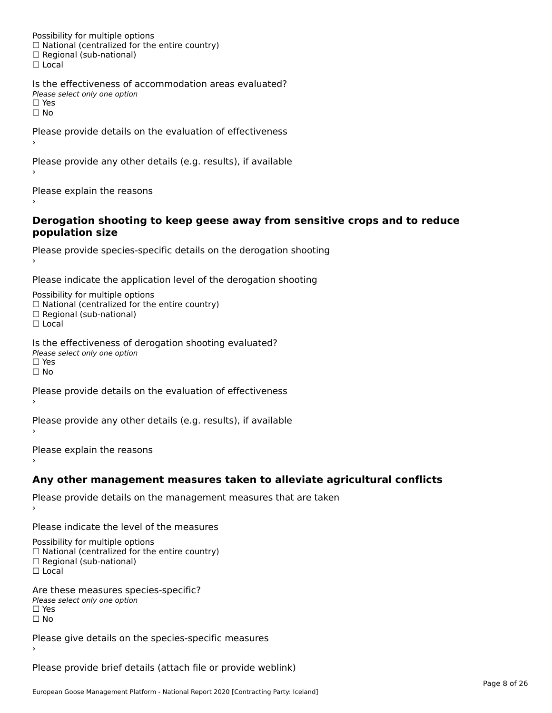Possibility for multiple options rossibility for multiple options<br>□ National (centralized for the entire country) □ National (centralized io<br>□ Regional (sub-national) ☐ Local

Is the effectiveness of accommodation areas evaluated?□ CITC CITCCITCITESS OF Q<br>Please select only one option  $\square$  Yes ☐ No

Please provide details on the evaluation of effectiveness

Please provide any other details (e.g. results), if available

Please explain the reasons

#### **Derogation shooting to keep geese away from sensitive crops and to reduce population size**population size

```
Please provide species-specific details on the derogation shooting ›
```
Please indicate the application level of the derogation shooting

Possibility for multiple options rossibility for multiple options<br>□ National (centralized for the entire country)

□ National (centralized io<br>□ Regional (sub-national)

☐ Local

Is the effectiveness of derogation shooting evaluated? Please select only one option

rıease<br>□ Yes

☐ No

Please provide details on the evaluation of effectiveness

Please provide any other details (e.g. results), if available

Please explain the reasons

### **Any other management measures taken to alleviate agricultural conflicts**

Please provide details on the management measures that are taken

Please indicate the level of the measures

Possibility for multiple options rossibility for multiple options<br>□ National (centralized for the entire country) □ National (centralized io<br>□ Regional (sub-national)

☐ Local

Are these measures species-specific? ric criese measures spe<br>Please select only one option *riease*<br>□ Yes ☐ No

Please give details on the species-specific measures

Please provide brief details (attach file or provide weblink)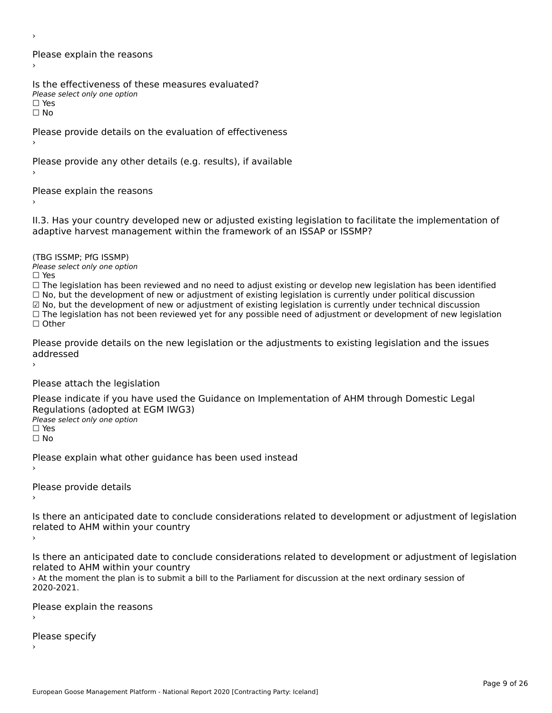›

Please explain the reasons›

Is the effectiveness of these measures evaluated? Please select only one option

☐ Yesים וכ∍<br>⊡ No

Please provide details on the evaluation of effectiveness

Please provide any other details (e.g. results), if available

Please explain the reasons

II.3. Has your country developed new or adjusted existing legislation to facilitate the implementation of

(TBG ISSMP; PfG ISSMP)

Please select only one option ☐ Yes

☐ The legislation has been reviewed and no need to adjust existing or develop new legislation has been identified  $\Box$  The regislation has been reviewed and no need to adjust existing or develop hew regislation has been identify and  $\Box$  No, but the development of new or adjustment of existing legislation is currently under political

☑ No, but the development of new or adjustment of existing legislation is currently under technical discussion

⊠ NO, but the development of new or adjustment or existing regislation is currently under technical discussion<br>□ The legislation has not been reviewed yet for any possible need of adjustment or development of new legislat ☐ Other

Please provide details on the new legislation or the adjustments to existing legislation and the issues addressed

Please attach the legislation

Please indicate if you have used the Guidance on Implementation of AHM through Domestic Legal Regulations (adopted at EGM IWG3)Please select only one option ☐ Yes

☐ No

Please explain what other guidance has been used instead

Please provide details›

Is there an anticipated date to conclude considerations related to development or adjustment of legislation Proced to Arm within your country

Is there an anticipated date to conclude considerations related to development or adjustment of legislation is there an anticipated date to cont<br>related to AHM within your country

› At the moment the plan is to submit a bill to the Parliament for discussion at the next ordinary session of 2020-2021.

Please explain the reasons

Please specify›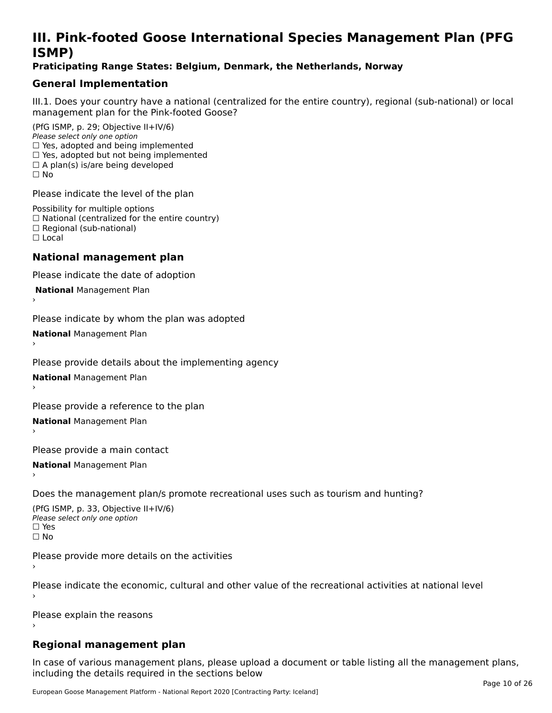# **III. Pink-footed Goose International Species Management Plan (PFG**III. FIIIN-IUULEU GUUSE IIILEI II**atiunai Species Management Fian (FTG**<br>ISMD)

#### **Praticipating Range States: Belgium, Denmark, the Netherlands, Norway**

# **General Implementation**

III.1. Does your country have a national (centralized for the entire country), regional (sub-national) or local

(PfG ISMP, p. 29; Objective II+IV/6) Please select only one option *riease select only one option*<br>□ Yes, adopted and being implemented  $\Box$  res, adopted and being implemented<br> $\Box$  Yes, adopted but not being implemented  $\Box$  A plan(s) is/are being developed ☐ No

Please indicate the level of the plan

Possibility for multiple options rossibility for multiple options<br>□ National (centralized for the entire country) □ National (centralized io<br>□ Regional (sub-national) ☐ Local

#### **National management plan**

Please indicate the date of adoption

 **National** Management Plan

›

Please indicate by whom the plan was adopted

**National** Management Plan ›

Please provide details about the implementing agency

**National** Management Plan ›

Please provide a reference to the plan

**National** Management Plan

Please provide a main contact

**National** Management Plan ›

Does the management plan/s promote recreational uses such as tourism and hunting?

(PfG ISMP, p. 33, Objective II+IV/6) Please select only one optionPlease select only one option  $\square$  Yes ☐ No

Please provide more details on the activities

Please indicate the economic, cultural and other value of the recreational activities at national level

Please explain the reasons

### **Regional management plan**

In case of various management plans, please upload a document or table listing all the management plans, $\frac{1}{2}$  case of various management plans, please uploa including the details required in the sections below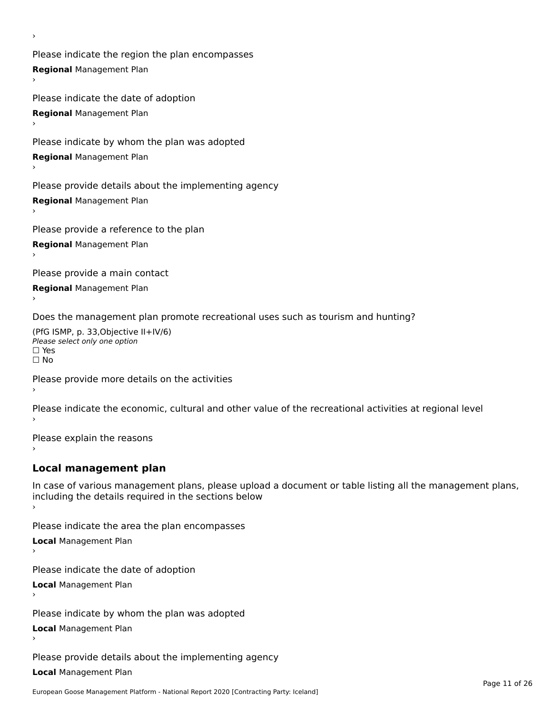Please indicate the region the plan encompasses **Regional** Management Plan

Please indicate the date of adoption **Regional** Management Plan

Please indicate by whom the plan was adopted

**Regional** Management Plan

›

Please provide details about the implementing agency

**Regional** Management Plan

Please provide a reference to the plan

**Regional** Management Plan

Please provide a main contact

**Regional** Management Plan

Does the management plan promote recreational uses such as tourism and hunting?

(PfG ISMP, p. 33,Objective II+IV/6) ∩∩ וויוכו פון<br>Please select only one option<br>□ Yes □ Yes<br>□ No

Please provide more details on the activities

Please indicate the economic, cultural and other value of the recreational activities at regional level

Please explain the reasons ›

### **Local management plan**

In case of various management plans, please upload a document or table listing all the management plans, In case of various management plans, please uploa<br>including the details required in the sections below

Please indicate the area the plan encompasses

**Local** Management Plan

Please indicate the date of adoption

**Local** Management Plan›

Please indicate by whom the plan was adopted

**Local** Management Plan

Please provide details about the implementing agency

**Local** Management Plan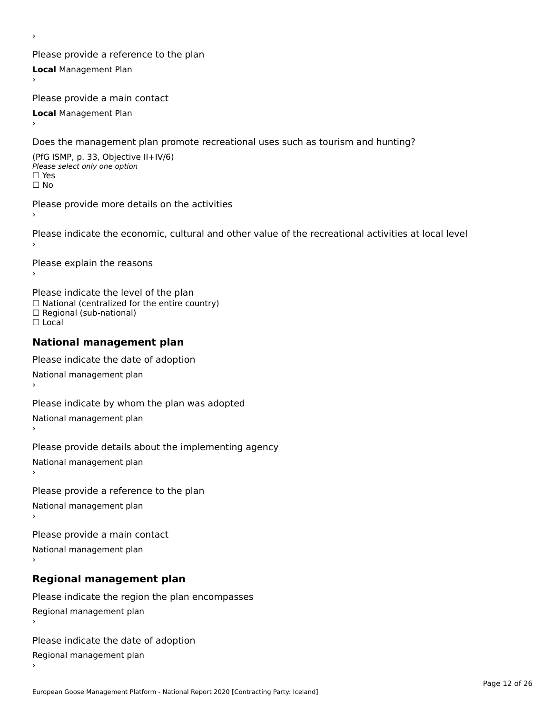Please provide a reference to the plan **Local** Management Plan

Please provide a main contact

**Local** Management Plan

›

Does the management plan promote recreational uses such as tourism and hunting?

(PfG ISMP, p. 33, Objective II+IV/6) Please select only one option☐ Yes☐ No

Please provide more details on the activities

Please indicate the economic, cultural and other value of the recreational activities at local level

Please explain the reasons ›

Please indicate the level of the plan ∩ease marcate the lever of the plan<br>□ National (centralized for the entire country) □ National (centralized io<br>□ Regional (sub-national) ☐ Local

#### **National management plan**

Please indicate the date of adoption National management plan

Please indicate by whom the plan was adopted National management plan ›

Please provide details about the implementing agency

National management plan

Please provide a reference to the plan

National management plan

Please provide a main contact

National management plan

# **Regional management plan**

Please indicate the region the plan encompasses Regional management plan

Please indicate the date of adoption

Regional management plan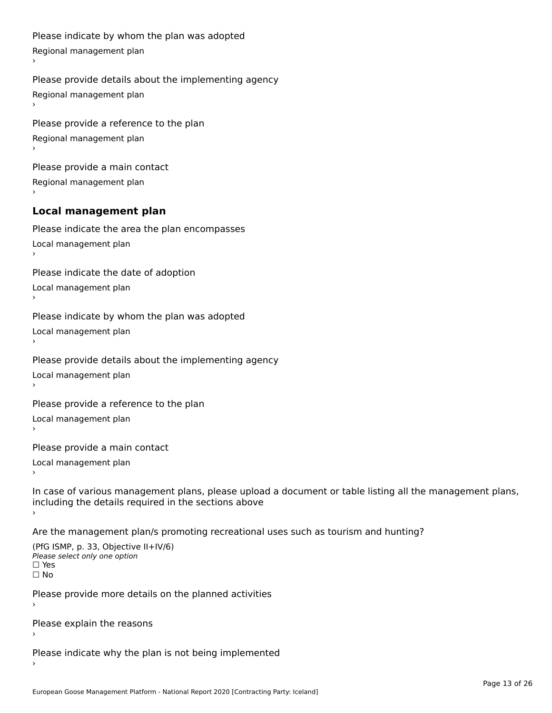```
Please indicate by whom the plan was adopted Regional management plan
Please provide details about the implementing agency Regional management plan
Please provide a reference to the plan Regional management plan
Please provide a main contact Regional management plan
Local management plan
Please indicate the area the plan encompasses Local management plan›Please indicate the date of adoption Local management plan١,
Please indicate by whom the plan was adopted Local management plan›Please provide details about the implementing agency Local management plan١,
Please provide a reference to the plan Local management plan›Please provide a main contact Local management plan١,
In case of various management plans, please upload a document or table listing all the management plans,in case or various management plans, please upload
including the details required in the sections above
```
Are the management plan/s promoting recreational uses such as tourism and hunting?

```
(PfG ISMP, p. 33, Objective II+IV/6)
Please select only one option☐ Yes☐ No
```
Please provide more details on the planned activities

Please explain the reasons›

Please indicate why the plan is not being implemented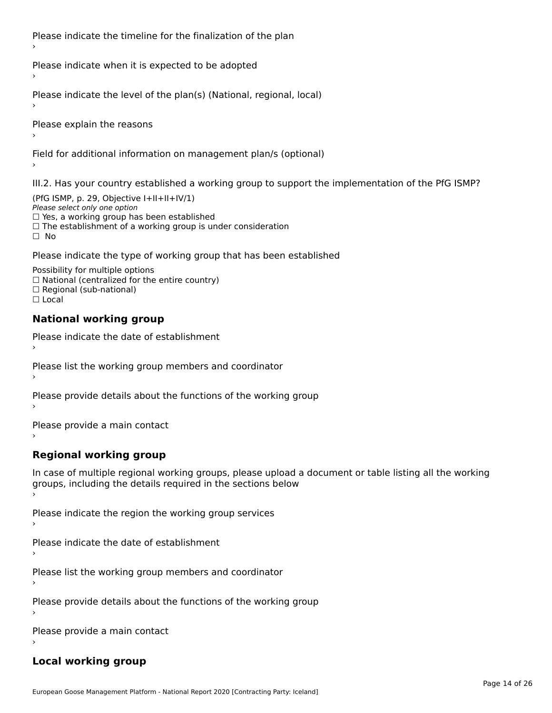Please indicate the timeline for the finalization of the plan

Please indicate when it is expected to be adopted

Please indicate the level of the plan(s) (National, regional, local)

Please explain the reasons

Field for additional information on management plan/s (optional)

III.2. Has your country established a working group to support the implementation of the PfG ISMP?

(PfG ISMP, p. 29, Objective I+II+II+IV/1)Please select only one option □ Yes, a working group has been established □ Tes, a working group has been established<br>□ The establishment of a working group is under consideration

Please indicate the type of working group that has been established

Possibility for multiple options ™assibility for multiple options<br>□ National (centralized for the entire country) □ National (centralized io<br>□ Regional (sub-national)  $\Box$  Local

#### **National working group**

›

Please indicate the date of establishment

Please list the working group members and coordinator ›

Please provide details about the functions of the working group ›

Please provide a main contact ›

**Regional working group**

In case of multiple regional working groups, please upload a document or table listing all the working In case of multiple regional working groups, please upload a<br>groups, including the details required in the sections below

Please indicate the region the working group services ›

Please indicate the date of establishment ›

Please list the working group members and coordinator ›

Please provide details about the functions of the working group ›

Please provide a main contact ›

#### **Local working group**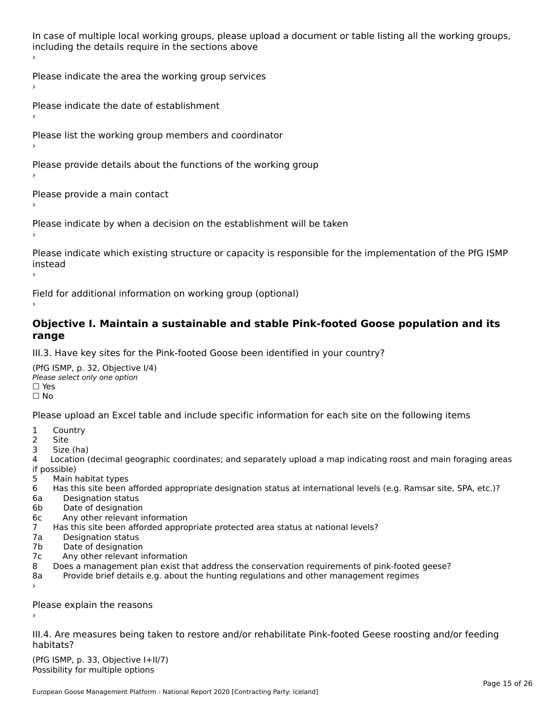In case of multiple local working groups, please upload a document or table listing all the working groups, in case of multiple local working groups, please up ›

Please indicate the area the working group services ›

Please indicate the date of establishment ›

Please list the working group members and coordinator ›

Please provide details about the functions of the working group ›

Please provide a main contact ›

Please indicate by when a decision on the establishment will be taken

Please indicate which existing structure or capacity is responsible for the implementation of the PfG ISMP instead ›

Field for additional information on working group (optional)

#### **Objective I. Maintain a sustainable and stable Pink-footed Goose population and its range**range

III.3. Have key sites for the Pink-footed Goose been identified in your country?

(PfG ISMP, p. 32, Objective I/4)Please select only one option ☐ Yes☐ No

Please upload an Excel table and include specific information for each site on the following items

- $1 \quad \alpha$
- 2 Site
- 2 Site<br>3 Size (ha)

د حدد una<br>4 Location (decimal geographic coordinates; and separately upload a map indicating roost and main foraging areas 4 Location<br>if possible)

- 5 Main habitat types
- 6 Has this site been afforded appropriate designation status at international levels (e.g. Ramsar site, SPA, etc.)? 6. Bestweetter status
- 6a Designation status<br>6b Date of designation
- 
- 6c Any other relevant information
- 7 Has this site been afforded appropriate protected area status at national levels? 7a Designation status
- 7a Designation status<br>7b Date of designation
- 
- 7c Any other relevant information
- 8 Does a management plan exist that address the conservation requirements of pink-footed geese?
- 8a Provide brief details e.g. about the hunting regulations and other management regimes ›

Please explain the reasons

III.4. Are measures being taken to restore and/or rehabilitate Pink-footed Geese roosting and/or feeding habitats?

 $(PCI GMP, p. 33, Qb)$  is the I+II/7) Possibility for multiple optionsPossibility for multiple options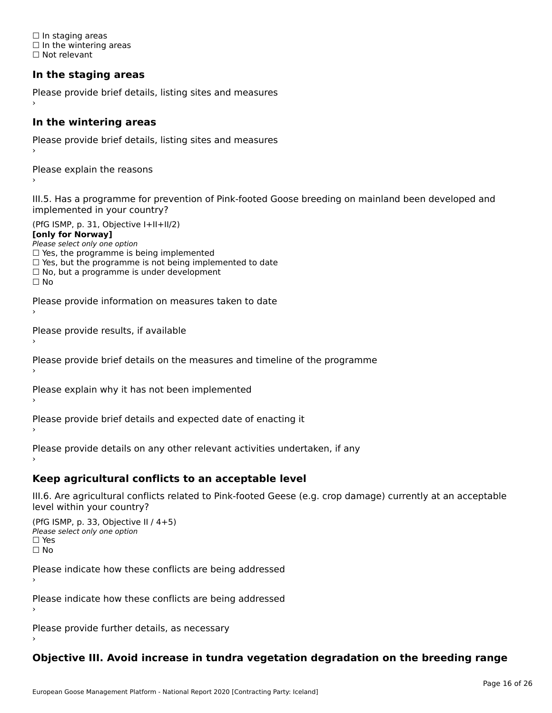☐ In staging areas □ in staging areas<br>□ In the wintering areas ☐ Not relevant

# **In the staging areas**

```
Please provide brief details, listing sites and measures ›
```
#### **In the wintering areas**

Please provide brief details, listing sites and measures ›

Please explain the reasons

III.5. Has a programme for prevention of Pink-footed Goose breeding on mainland been developed and implemented in your country?

(PfG ISMP, p. 31, Objective I+II+II/2)

**[only for Norway]**

Please select only one option riease select only one option<br>□ Yes, the programme is being implemented

 $\Box$  ies, the programme is being implemented to date  $\Box$  Yes, but the programme is not being implemented to date

 $\Box$  No, but a programme is under development

Please provide information on measures taken to date

Please provide results, if available

Please provide brief details on the measures and timeline of the programme

Please explain why it has not been implemented

Please provide brief details and expected date of enacting it

Please provide details on any other relevant activities undertaken, if any›

**Keep agricultural conflicts to an acceptable level**

III.6. Are agricultural conflicts related to Pink-footed Geese (e.g. crop damage) currently at an acceptable

```
(PfG ISMP, p. 33, Objective II (4+5))
Please select only one option
☐ Yes☐ No
```
Please indicate how these conflicts are being addressed

Please indicate how these conflicts are being addressed›

Please provide further details, as necessary ›

# **Objective III. Avoid increase in tundra vegetation degradation on the breeding range**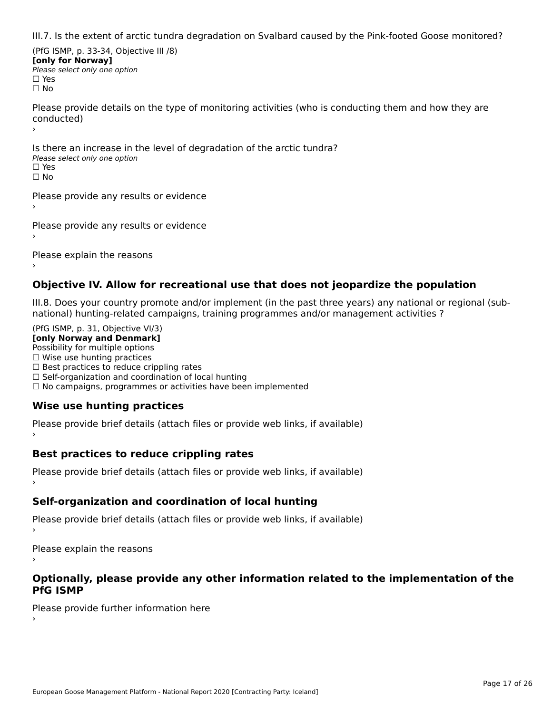III.7. Is the extent of arctic tundra degradation on Svalbard caused by the Pink-footed Goose monitored?

(PfG ISMP, p. 33-34, Objective III /8) **[only for Norway] Please select only one option** □ Yes<br>□ No

Please provide details on the type of monitoring activities (who is conducting them and how they are riease prov ›

Is there an increase in the level of degradation of the arctic tundra? □ CitCre dir increduction<br>Please select only one option □ Yes<br>□ No

Please provide any results or evidence

Please provide any results or evidence

Please explain the reasons

›

#### **Objective IV. Allow for recreational use that does not jeopardize the population**

III.8. Does your country promote and/or implement (in the past three years) any national or regional (sub $m.6.198$  your country promove and/or miplement (in the past time years) any national or

(PfG ISMP, p. 31, Objective VI/3) **[only Norway and Denmark]** Possibility for multiple options ☐ Wise use hunting practices  $\Box$  wise use numing practices<br> $\Box$  Best practices to reduce crippling rates □ Best practices to reduce crippinig rates<br>□ Self-organization and coordination of local hunting □ Sen-organization and coordination or local nunting<br>□ No campaigns, programmes or activities have been implemented

# **Wise use hunting practices**

Please provide brief details (attach files or provide web links, if available) ›

### **Best practices to reduce crippling rates**

Please provide brief details (attach files or provide web links, if available)

# **Self-organization and coordination of local hunting**

Please provide brief details (attach files or provide web links, if available)

Please explain the reasons

#### **Optionally, please provide any other information related to the implementation of the PfG ISMP**

Please provide further information here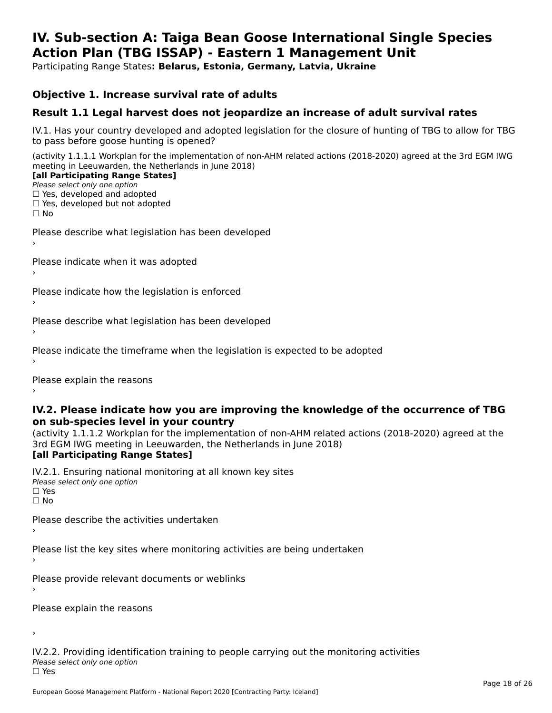#### **IV. Sub-section A: Taiga Bean Goose International Single Species Action Plan (TBG ISSAP) - Eastern 1 Management UnitAction Plan (TBG ISSAP) - Eastern 1 Management Unit**

Participating Range States**: Belarus, Estonia, Germany, Latvia, Ukraine** 

#### **Objective 1. Increase survival rate of adults**

### **Result 1.1 Legal harvest does not jeopardize an increase of adult survival rates**

IV.1. Has your country developed and adopted legislation for the closure of hunting of TBG to allow for TBG IV.1. Thas your country developed and add<br>to pass before goose hunting is opened?

(activity 1.1.1.1 Workplan for the implementation of non-AHM related actions (2018-2020) agreed at the 3rd EGM IWG meeting in Leeuwarden, the Netherlands in June 2018) **[all Participating Range States]**

#### [all Participating Range States]

Please select only one option ☐ Yes, developed and adopted

☐ Yes, developed but not adopted

 $\Box$  ies, developed but not adopted

Please describe what legislation has been developed

Please indicate when it was adopted

Please indicate how the legislation is enforced

Please describe what legislation has been developed

Please indicate the timeframe when the legislation is expected to be adopted

Please explain the reasons

#### **IV.2. Please indicate how you are improving the knowledge of the occurrence of TBG on sub-species level in your country**on sub-species level in your country

on sub-species fever in your country<br>(activity 1.1.1.2 Workplan for the implementation of non-AHM related actions (2018-2020) agreed at the **Brd EGM IWG meeting in Leeuwarden, the Netherlands in June 2018)** 

#### [all Participating Range States]

IV.2.1. Ensuring national monitoring at all known key sites <del>■ Western Chroning</del> Hational<br>Please select only one option  $\square$  Yes ☐ No

Please describe the activities undertaken

Please list the key sites where monitoring activities are being undertaken

Please provide relevant documents or weblinks

Please explain the reasons

›

IV.2.2. Providing identification training to people carrying out the monitoring activities <del>■ Western Fortung</del> Recrement<br>Please select only one option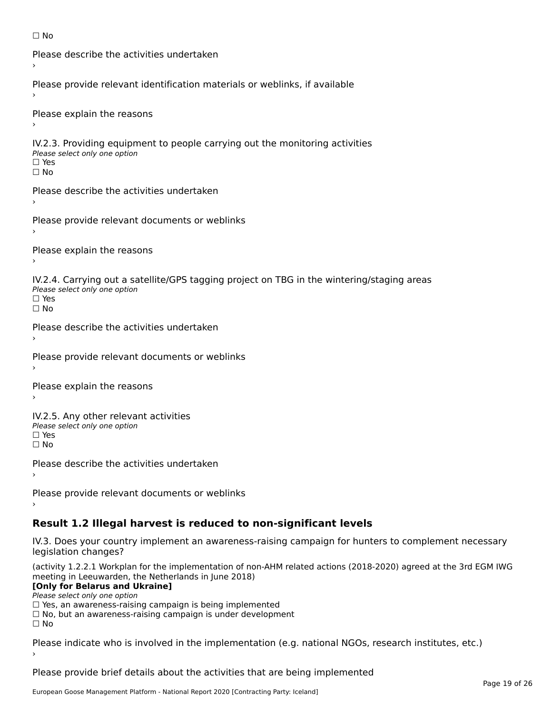```
☐ No
```

```
Please describe the activities undertaken›Please provide relevant identification materials or weblinks, if available
Please explain the reasons
IV.2.3. Providing equipment to people carrying out the monitoring activities
Please select only one option
☐ Yes□ Yes<br>□ No
Please describe the activities undertaken›Please provide relevant documents or weblinks
Please explain the reasons
IV.2.4. Carrying out a satellite/GPS tagging project on TBG in the wintering/staging areas
TV:∠:→: Carrying out a Se<br>Please select only one option
□ Yes<br>□ No
Please describe the activities undertaken›Please provide relevant documents or weblinks
Please explain the reasons
IV.2.5. Any other relevant activities
Please select only one option
☐ Yes□ Yes<br>□ No
Please describe the activities undertaken›Please provide relevant documents or weblinks
Result 1.2 Illegal harvest is reduced to non-significant levels
```
IV.3. Does your country implement an awareness-raising campaign for hunters to complement necessary rv.5. Does your court<br>legislation changes?

(activity 1.2.2.1 Workplan for the implementation of non-AHM related actions (2018-2020) agreed at the 3rd EGM IWG meeting in Leeuwarden, the Netherlands in June 2018)

#### **[Only for Belarus and Ukraine]**

Please select only one option

riease select only one option<br>□ Yes, an awareness-raising campaign is being implemented

□ No, but an awareness-raising campaign is under development<br>□ N。

Please indicate who is involved in the implementation (e.g. national NGOs, research institutes, etc.)

Please provide brief details about the activities that are being implemented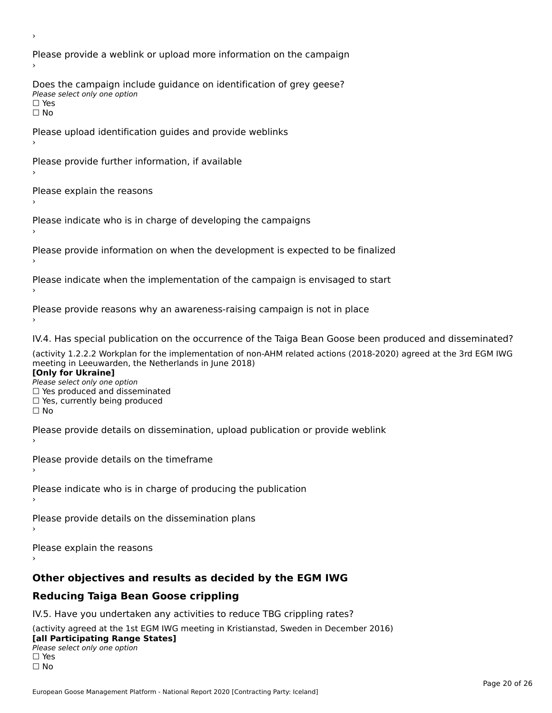Please provide a weblink or upload more information on the campaign Does the campaign include guidance on identification of grey geese? Please select only one option<br>□ Yes □ Yes<br>□ No Please upload identification guides and provide weblinks Please provide further information, if available Please explain the reasons Please indicate who is in charge of developing the campaigns Please provide information on when the development is expected to be finalized Please indicate when the implementation of the campaign is envisaged to start Please provide reasons why an awareness-raising campaign is not in place IV.4. Has special publication on the occurrence of the Taiga Bean Goose been produced and disseminated? (activity 1.2.2.2 Workplan for the implementation of non-AHM related actions (2018-2020) agreed at the 3rd EGM IWG **[Only for Ukraine] □ Yes produced and disseminated**<br>Please select only one option  $\Box$  ies produced and disseminated  $\Box$  ies, currently being produced Please provide details on dissemination, upload publication or provide weblink Please provide details on the timeframe Please indicate who is in charge of producing the publication Please provide details on the dissemination plans Please explain the reasons **Other objectives and results as decided by the EGM IWG Reducing Taiga Bean Goose crippling** IV.5. Have you undertaken any activities to reduce TBG crippling rates? (activity agreed at the 1st EGM IWG meeting in Kristianstad, Sweden in December 2016)

#### **[all Participating Range States]**[all Participating Range States]

**Law Tarticipating Range**<br>Please select only one option

□ Yes<br>□ No

›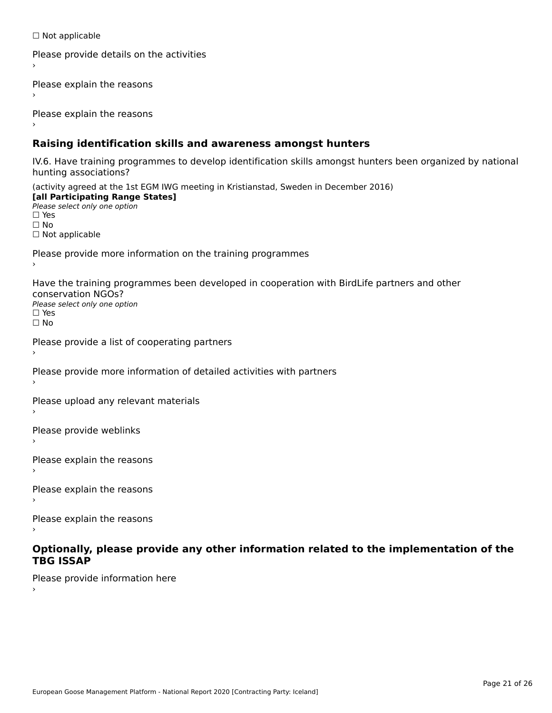☐ Not applicable

```
Please provide details on the activities
```
Please explain the reasons

Please explain the reasons

### **Raising identification skills and awareness amongst hunters**

IV.6. Have training programmes to develop identification skills amongst hunters been organized by national rv.o. riave training pro<br>hunting associations?

(activity agreed at the 1st EGM IWG meeting in Kristianstad, Sweden in December 2016) **[all Participating Range States]**[all Participating Range States] **Lan Tarticipating Range**<br>Please select only one option ☐ Yes☐ No□ Not applicable

Please provide more information on the training programmes

Have the training programmes been developed in cooperation with BirdLife partners and other conservation NGOs?Please select only one option☐ Yes☐ No

```
Please provide a list of cooperating partners
```
Please provide more information of detailed activities with partners

Please upload any relevant materials

Please provide weblinks

Please explain the reasons

Please explain the reasons›

Please explain the reasons

#### **Optionally, please provide any other information related to the implementation of the TBG ISSAPTBG ISSAP**

Please provide information here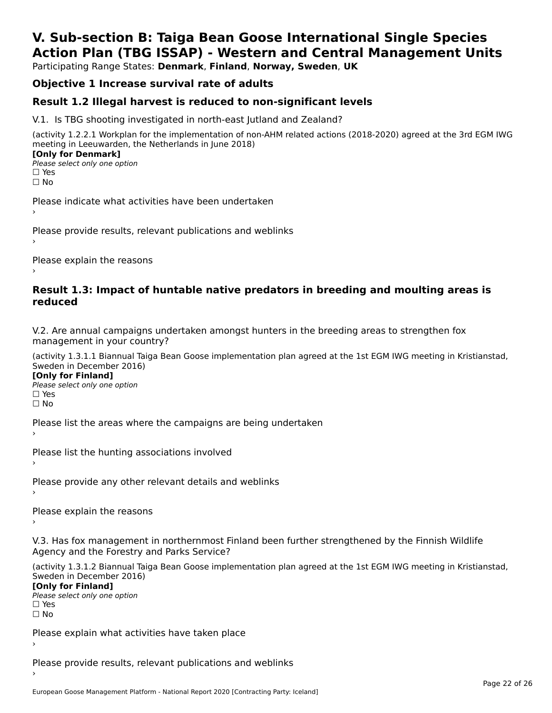# **V. Sub-section B: Taiga Bean Goose International Single SpeciesAction Plan (TBG ISSAP) - Western and Central Management Units**

Participating Range States: **Denmark**, **Finland**, **Norway, Sweden**, **UK**

# **Objective 1 Increase survival rate of adults**

### **Result 1.2 Illegal harvest is reduced to non-significant levels**

V.1. Is TBG shooting investigated in north-east Jutland and Zealand?

(activity 1.2.2.1 Workplan for the implementation of non-AHM related actions (2018-2020) agreed at the 3rd EGM IWG meeting in Leeuwarden, the Netherlands in June 2018) **[Only for Denmark] LOTTLY TOT DETITIONS**<br>Please select only one option

*riease*<br>□ Yes<br>□ No

Please indicate what activities have been undertaken›

Please provide results, relevant publications and weblinks ›

Please explain the reasons

#### **Result 1.3: Impact of huntable native predators in breeding and moulting areas is reduced**

V.2. Are annual campaigns undertaken amongst hunters in the breeding areas to strengthen fox v.z. Are annual campaigns und<br>management in your country?

(activity 1.3.1.1 Biannual Taiga Bean Goose implementation plan agreed at the 1st EGM IWG meeting in Kristianstad, Sweden in December 2016)

**[Only for Finland]** Please select only one optionriease<br>□ Yes ים וכ<br>⊡ No

Please list the areas where the campaigns are being undertaken

Please list the hunting associations involved

Please provide any other relevant details and weblinks ›

Please explain the reasons›

V.3. Has fox management in northernmost Finland been further strengthened by the Finnish Wildlife v.5. Has fox management in northernmost F<br>Agency and the Forestry and Parks Service?

(activity 1.3.1.2 Biannual Taiga Bean Goose implementation plan agreed at the 1st EGM IWG meeting in Kristianstad, Sweden in December 2016) Sweden in December 2016)

[Only for Finland]

**Please select only one option** □ Yes<br>□ No

Please explain what activities have taken place

Please provide results, relevant publications and weblinks ›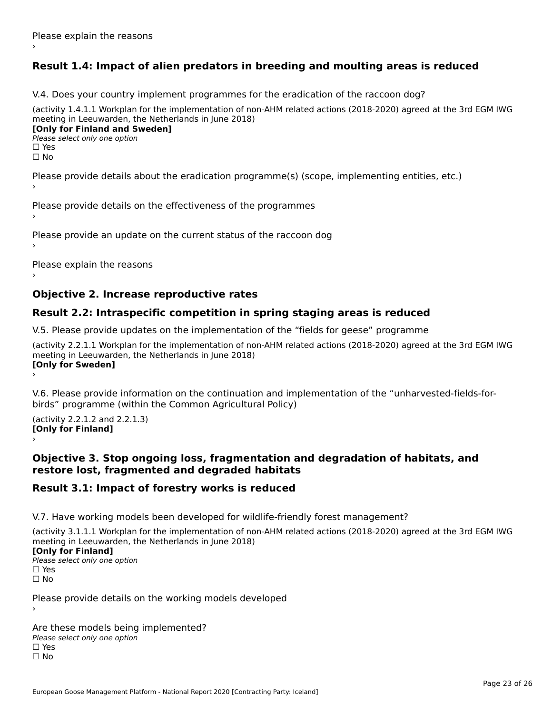# **Result 1.4: Impact of alien predators in breeding and moulting areas is reduced**

V.4. Does your country implement programmes for the eradication of the raccoon dog?

(activity 1.4.1.1 Workplan for the implementation of non-AHM related actions (2018-2020) agreed at the 3rd EGM IWG meeting in Leeuwarden, the Netherlands in June 2018) **[Only for Finland and Sweden]**

**Please select only one option** 

□ Yes<br>□ No

Please provide details about the eradication programme(s) (scope, implementing entities, etc.)

Please provide details on the effectiveness of the programmes

Please provide an update on the current status of the raccoon dog

Please explain the reasons

### **Objective 2. Increase reproductive rates**

### **Result 2.2: Intraspecific competition in spring staging areas is reduced**

V.5. Please provide updates on the implementation of the "fields for geese" programme

(activity 2.2.1.1 Workplan for the implementation of non-AHM related actions (2018-2020) agreed at the 3rd EGM IWG meeting in Leeuwarden, the Netherlands in June 2018) Loury for Swedent

V.6. Please provide information on the continuation and implementation of the "unharvested-fields-forbirds" programme (within the Common Agricultural Policy)birds" programme (within the Common Agricultural Policy)

(activity 2.2.1.2 and 2.2.1.3) **[Only for Finland]** ›

#### **Objective 3. Stop ongoing loss, fragmentation and degradation of habitats, and restore lost, fragmented and degraded habitats**

### **Result 3.1: Impact of forestry works is reduced**

V.7. Have working models been developed for wildlife-friendly forest management?

(activity 3.1.1.1 Workplan for the implementation of non-AHM related actions (2018-2020) agreed at the 3rd EGM IWG meeting in Leeuwarden, the Netherlands in June 2018)

#### **[Only for Finland]**

**Please select only one option** □ Yes<br>□ No

Please provide details on the working models developed

Are these models being implemented? ∩ne enese moders being<br>Please select only one option □ Yes<br>□ No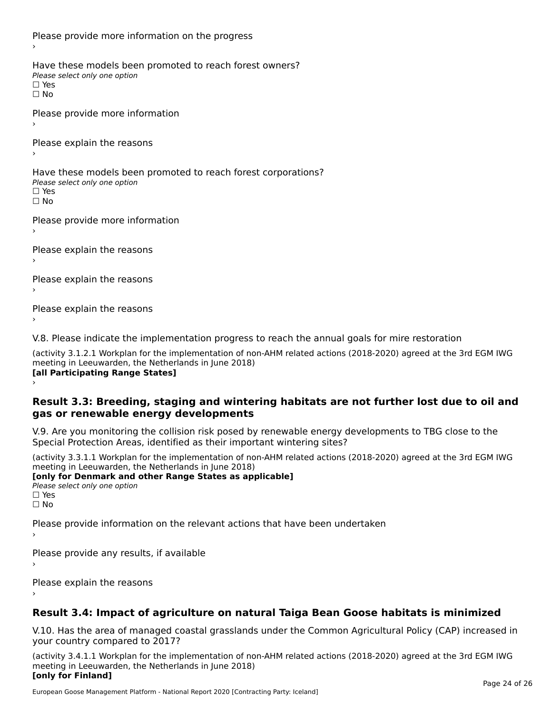Please provide more information on the progress Have these models been promoted to reach forest owners? ∩ave these models bee<br>Please select only one option □ Yes<br>□ No Please provide more information Please explain the reasons ›Have these models been promoted to reach forest corporations? ∩ave these models bee<br>Please select only one option □ Yes<br>□ No Please provide more information Please explain the reasons ›Please explain the reasons›Please explain the reasons›

V.8. Please indicate the implementation progress to reach the annual goals for mire restoration

(activity 3.1.2.1 Workplan for the implementation of non-AHM related actions (2018-2020) agreed at the 3rd EGM IWG meeting in Leeuwarden, the Netherlands in June 2018) **[all Participating Range States]** ›

**Result 3.3: Breeding, staging and wintering habitats are not further lost due to oil and gas or renewable energy developments**gas or renewable energy developments

V.9. Are you monitoring the collision risk posed by renewable energy developments to TBG close to the Special Protection Areas, identified as their important wintering sites?

(activity 3.3.1.1 Workplan for the implementation of non-AHM related actions (2018-2020) agreed at the 3rd EGM IWG meeting in Leeuwarden, the Netherlands in June 2018) **[only for Denmark and other Range States as applicable]**

```
Please select only one option
□ Yes<br>□ No
```
Please provide information on the relevant actions that have been undertaken ›

Please provide any results, if available

Please explain the reasons

# **Result 3.4: Impact of agriculture on natural Taiga Bean Goose habitats is minimized**

V.10. Has the area of managed coastal grasslands under the Common Agricultural Policy (CAP) increased in

(activity 3.4.1.1 Workplan for the implementation of non-AHM related actions (2018-2020) agreed at the 3rd EGM IWG meeting in Leeuwarden, the Netherlands in June 2018) **[only for Finland]**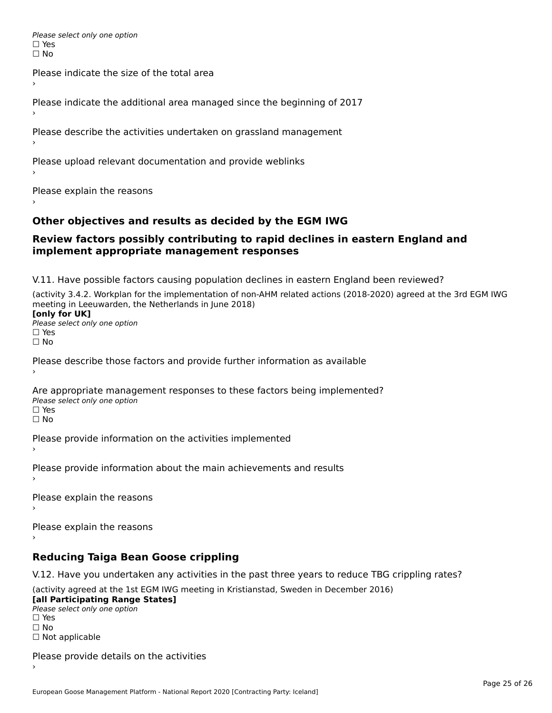Please select only one option □ Yes<br>□ No

Please indicate the size of the total area›

Please indicate the additional area managed since the beginning of 2017

Please describe the activities undertaken on grassland management

Please upload relevant documentation and provide weblinks

Please explain the reasons

### **Other objectives and results as decided by the EGM IWG**

#### **Review factors possibly contributing to rapid declines in eastern England and implement appropriate management responses**implement appropriate management responses

V.11. Have possible factors causing population declines in eastern England been reviewed?

(activity 3.4.2. Workplan for the implementation of non-AHM related actions (2018-2020) agreed at the 3rd EGM IWG meeting in Leeuwarden, the Netherlands in June 2018)<br>**[only for UK]** 

**∐omy for OR**<br>Please select only one option □ Yes<br>□ No

Please describe those factors and provide further information as available

Are appropriate management responses to these factors being implemented? Please select only one option ים<br>⊡ No

Please provide information on the activities implemented

Please provide information about the main achievements and results›

Please explain the reasons

Please explain the reasons

**Reducing Taiga Bean Goose crippling**

V.12. Have you undertaken any activities in the past three years to reduce TBG crippling rates?

(activity agreed at the 1st EGM IWG meeting in Kristianstad, Sweden in December 2016) **[all Participating Range States]**

[all Participating Range States] Please select only one option☐ Yesים<br>⊡ No □ Not applicable

Please provide details on the activities